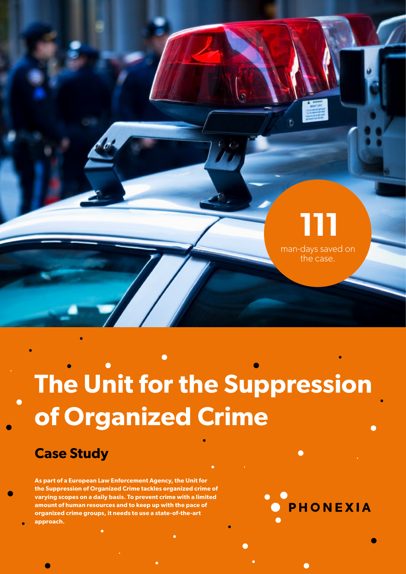

# **The Unit for the Suppression of Organized Crime**

#### **Case Study**

**As part of a European Law Enforcement Agency, the Unit for the Suppression of Organized Crime tackles organized crime of varying scopes on a daily basis. To prevent crime with a limited amount of human resources and to keep up with the pace of organized crime groups, it needs to use a state-of-the-art approach.**

**PHONEXIA**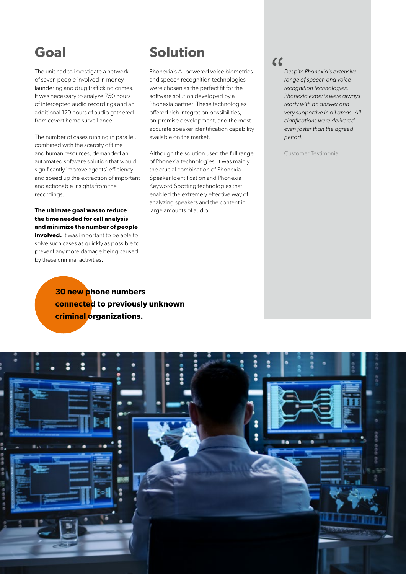#### **Goal**

The unit had to investigate a network of seven people involved in money laundering and drug trafficking crimes. It was necessary to analyze 750 hours of intercepted audio recordings and an additional 120 hours of audio gathered from covert home surveillance.

The number of cases running in parallel, combined with the scarcity of time and human resources, demanded an automated software solution that would significantly improve agents' efficiency and speed up the extraction of important and actionable insights from the recordings.

#### **The ultimate goal was to reduce the time needed for call analysis and minimize the number of people involved.** It was important to be able to solve such cases as quickly as possible to prevent any more damage being caused by these criminal activities.

#### **Solution**

Phonexia's AI-powered voice biometrics and speech recognition technologies were chosen as the perfect fit for the software solution developed by a Phonexia partner. These technologies offered rich integration possibilities, on-premise development, and the most accurate speaker identification capability available on the market.

Although the solution used the full range of Phonexia technologies, it was mainly the crucial combination of Phonexia Speaker Identification and Phonexia Keyword Spotting technologies that enabled the extremely effective way of analyzing speakers and the content in large amounts of audio.

#### $\epsilon$

*Despite Phonexia's extensive range of speech and voice recognition technologies, Phonexia experts were always ready with an answer and very supportive in all areas. All clarifications were delivered even faster than the agreed period.*

Customer Testimonial

**30 new phone numbers connected to previously unknown criminal organizations.**

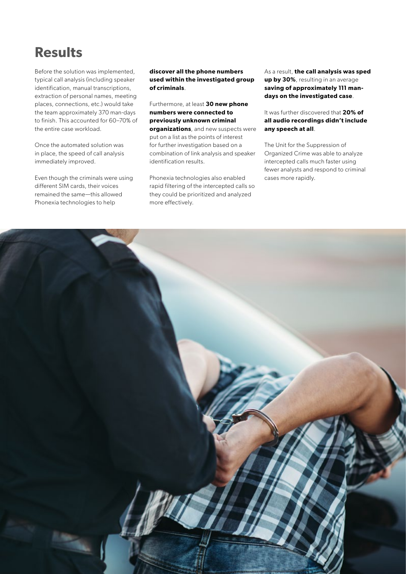### **Results**

Before the solution was implemented, typical call analysis (including speaker identification, manual transcriptions, extraction of personal names, meeting places, connections, etc.) would take the team approximately 370 man-days to finish. This accounted for 60–70% of the entire case workload.

Once the automated solution was in place, the speed of call analysis immediately improved.

Even though the criminals were using different SIM cards, their voices remained the same—this allowed Phonexia technologies to help

**discover all the phone numbers used within the investigated group of criminals**.

Furthermore, at least **30 new phone numbers were connected to previously unknown criminal organizations**, and new suspects were put on a list as the points of interest for further investigation based on a combination of link analysis and speaker identification results.

Phonexia technologies also enabled rapid filtering of the intercepted calls so they could be prioritized and analyzed more effectively.

As a result, **the call analysis was sped up by 30%**, resulting in an average **saving of approximately 111 mandays on the investigated case**.

It was further discovered that **20% of all audio recordings didn't include any speech at all**.

The Unit for the Suppression of Organized Crime was able to analyze intercepted calls much faster using fewer analysts and respond to criminal cases more rapidly.